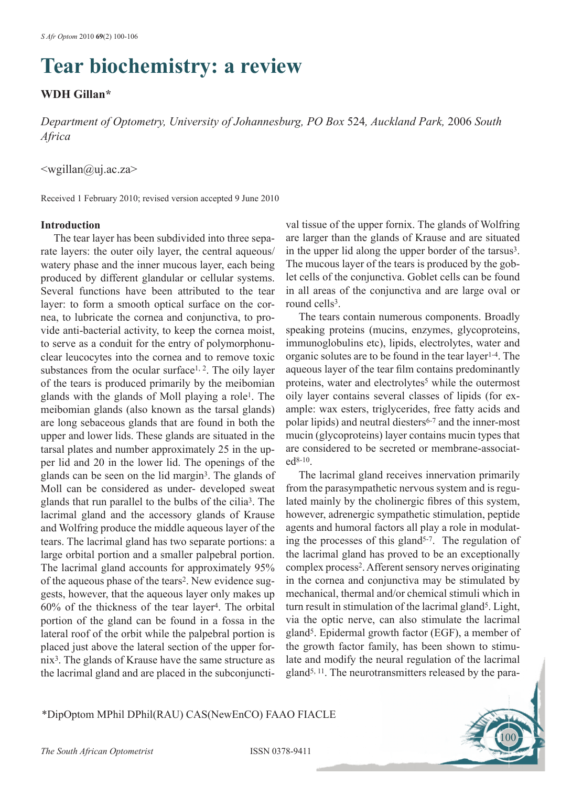# **Tear biochemistry: a review**

# **WDH Gillan\***

*Department of Optometry, University of Johannesburg, PO Box* 524*, Auckland Park,* 2006 *South Africa*

# <wgillan@uj.ac.za>

Received 1 February 2010; revised version accepted 9 June 2010

### **Introduction**

The tear layer has been subdivided into three separate layers: the outer oily layer, the central aqueous/ watery phase and the inner mucous layer, each being produced by different glandular or cellular systems. Several functions have been attributed to the tear layer: to form a smooth optical surface on the cornea, to lubricate the cornea and conjunctiva, to provide anti-bacterial activity, to keep the cornea moist, to serve as a conduit for the entry of polymorphonuclear leucocytes into the cornea and to remove toxic substances from the ocular surface<sup>1, 2</sup>. The oily layer of the tears is produced primarily by the meibomian glands with the glands of Moll playing a role1. The meibomian glands (also known as the tarsal glands) are long sebaceous glands that are found in both the upper and lower lids. These glands are situated in the tarsal plates and number approximately 25 in the upper lid and 20 in the lower lid. The openings of the glands can be seen on the lid margin3. The glands of Moll can be considered as under- developed sweat glands that run parallel to the bulbs of the cilia3. The lacrimal gland and the accessory glands of Krause and Wolfring produce the middle aqueous layer of the tears. The lacrimal gland has two separate portions: a large orbital portion and a smaller palpebral portion. The lacrimal gland accounts for approximately 95% of the aqueous phase of the tears<sup>2</sup>. New evidence suggests, however, that the aqueous layer only makes up 60% of the thickness of the tear layer4. The orbital portion of the gland can be found in a fossa in the lateral roof of the orbit while the palpebral portion is placed just above the lateral section of the upper fornix3. The glands of Krause have the same structure as the lacrimal gland and are placed in the subconjuncti-

val tissue of the upper fornix. The glands of Wolfring are larger than the glands of Krause and are situated in the upper lid along the upper border of the tarsus<sup>3</sup>. The mucous layer of the tears is produced by the goblet cells of the conjunctiva. Goblet cells can be found in all areas of the conjunctiva and are large oval or round cells<sup>3</sup>.

The tears contain numerous components. Broadly speaking proteins (mucins, enzymes, glycoproteins, immunoglobulins etc), lipids, electrolytes, water and organic solutes are to be found in the tear layer1-4. The aqueous layer of the tear film contains predominantly proteins, water and electrolytes<sup>5</sup> while the outermost oily layer contains several classes of lipids (for example: wax esters, triglycerides, free fatty acids and polar lipids) and neutral diesters<sup>6-7</sup> and the inner-most mucin (glycoproteins) layer contains mucin types that are considered to be secreted or membrane-associated8-10.

The lacrimal gland receives innervation primarily from the parasympathetic nervous system and is regulated mainly by the cholinergic fibres of this system, however, adrenergic sympathetic stimulation, peptide agents and humoral factors all play a role in modulating the processes of this gland<sup> $5-7$ </sup>. The regulation of the lacrimal gland has proved to be an exceptionally complex process2. Afferent sensory nerves originating in the cornea and conjunctiva may be stimulated by mechanical, thermal and/or chemical stimuli which in turn result in stimulation of the lacrimal gland<sup>5</sup>. Light, via the optic nerve, can also stimulate the lacrimal gland5. Epidermal growth factor (EGF), a member of the growth factor family, has been shown to stimulate and modify the neural regulation of the lacrimal gland5, 11. The neurotransmitters released by the para-

100

## \*DipOptom MPhil DPhil(RAU) CAS(NewEnCO) FAAO FIACLE

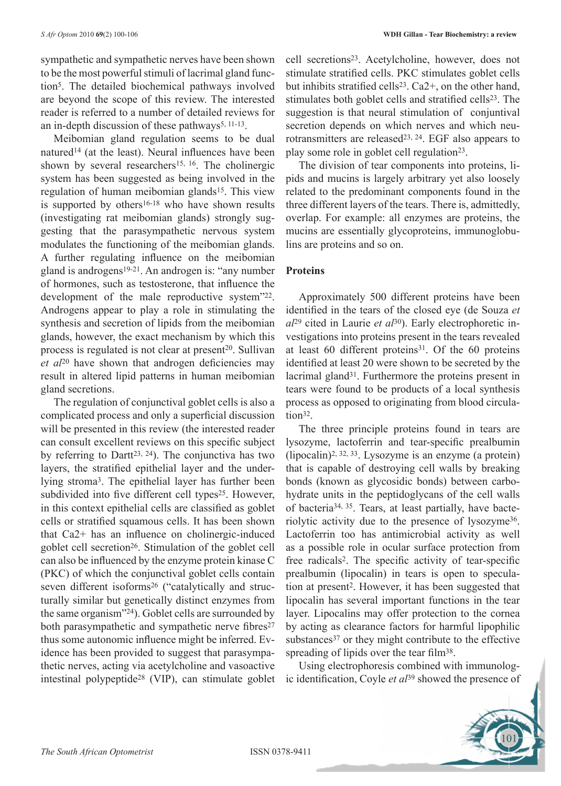sympathetic and sympathetic nerves have been shown to be the most powerful stimuli of lacrimal gland function5. The detailed biochemical pathways involved are beyond the scope of this review. The interested reader is referred to a number of detailed reviews for an in-depth discussion of these pathways<sup>5, 11-13</sup>.

Meibomian gland regulation seems to be dual natured<sup>14</sup> (at the least). Neural influences have been shown by several researchers<sup>15, 16</sup>. The cholinergic system has been suggested as being involved in the regulation of human meibomian glands15. This view is supported by others<sup>16-18</sup> who have shown results (investigating rat meibomian glands) strongly suggesting that the parasympathetic nervous system modulates the functioning of the meibomian glands. A further regulating influence on the meibomian gland is androgens19-21. An androgen is: "any number of hormones, such as testosterone, that influence the development of the male reproductive system"22. Androgens appear to play a role in stimulating the synthesis and secretion of lipids from the meibomian glands, however, the exact mechanism by which this process is regulated is not clear at present<sup>20</sup>. Sullivan *et al*20 have shown that androgen deficiencies may result in altered lipid patterns in human meibomian gland secretions.

The regulation of conjunctival goblet cells is also a complicated process and only a superficial discussion will be presented in this review (the interested reader can consult excellent reviews on this specific subject by referring to Dartt<sup>23, 24</sup>). The conjunctiva has two layers, the stratified epithelial layer and the underlying stroma3. The epithelial layer has further been subdivided into five different cell types<sup>25</sup>. However, in this context epithelial cells are classified as goblet cells or stratified squamous cells. It has been shown that Ca2+ has an influence on cholinergic-induced goblet cell secretion<sup>26</sup>. Stimulation of the goblet cell can also be influenced by the enzyme protein kinase C (PKC) of which the conjunctival goblet cells contain seven different isoforms<sup>26</sup> ("catalytically and structurally similar but genetically distinct enzymes from the same organism"24). Goblet cells are surrounded by both parasympathetic and sympathetic nerve fibres<sup>27</sup> thus some autonomic influence might be inferred. Evidence has been provided to suggest that parasympathetic nerves, acting via acetylcholine and vasoactive intestinal polypeptide28 (VIP), can stimulate goblet cell secretions23. Acetylcholine, however, does not stimulate stratified cells. PKC stimulates goblet cells but inhibits stratified cells23. Ca2+, on the other hand, stimulates both goblet cells and stratified cells<sup>23</sup>. The suggestion is that neural stimulation of conjuntival secretion depends on which nerves and which neurotransmitters are released<sup>23, 24</sup>. EGF also appears to play some role in goblet cell regulation<sup>23</sup>.

The division of tear components into proteins, lipids and mucins is largely arbitrary yet also loosely related to the predominant components found in the three different layers of the tears. There is, admittedly, overlap. For example: all enzymes are proteins, the mucins are essentially glycoproteins, immunoglobulins are proteins and so on.

#### **Proteins**

Approximately 500 different proteins have been identified in the tears of the closed eye (de Souza *et al*29 cited in Laurie *et al*30). Early electrophoretic investigations into proteins present in the tears revealed at least 60 different proteins<sup>31</sup>. Of the 60 proteins identified at least 20 were shown to be secreted by the lacrimal gland<sup>31</sup>. Furthermore the proteins present in tears were found to be products of a local synthesis process as opposed to originating from blood circulation<sup>32</sup>.

The three principle proteins found in tears are lysozyme, lactoferrin and tear-specific prealbumin (lipocalin)2, 32, 33. Lysozyme is an enzyme (a protein) that is capable of destroying cell walls by breaking bonds (known as glycosidic bonds) between carbohydrate units in the peptidoglycans of the cell walls of bacteria34, 35. Tears, at least partially, have bacteriolytic activity due to the presence of lysozyme36. Lactoferrin too has antimicrobial activity as well as a possible role in ocular surface protection from free radicals2. The specific activity of tear-specific prealbumin (lipocalin) in tears is open to speculation at present2. However, it has been suggested that lipocalin has several important functions in the tear layer. Lipocalins may offer protection to the cornea by acting as clearance factors for harmful lipophilic substances<sup>37</sup> or they might contribute to the effective spreading of lipids over the tear film<sup>38</sup>.

Using electrophoresis combined with immunologic identification, Coyle *et al*39 showed the presence of

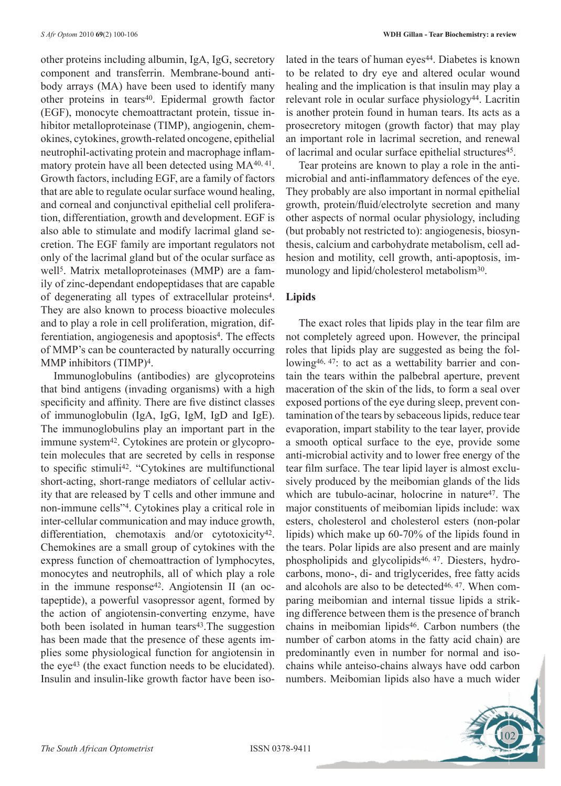other proteins including albumin, IgA, IgG, secretory component and transferrin. Membrane-bound antibody arrays (MA) have been used to identify many other proteins in tears<sup>40</sup>. Epidermal growth factor (EGF), monocyte chemoattractant protein, tissue inhibitor metalloproteinase (TIMP), angiogenin, chemokines, cytokines, growth-related oncogene, epithelial neutrophil-activating protein and macrophage inflammatory protein have all been detected using MA40, 41. Growth factors, including EGF, are a family of factors that are able to regulate ocular surface wound healing, and corneal and conjunctival epithelial cell proliferation, differentiation, growth and development. EGF is also able to stimulate and modify lacrimal gland secretion. The EGF family are important regulators not only of the lacrimal gland but of the ocular surface as well<sup>5</sup>. Matrix metalloproteinases (MMP) are a family of zinc-dependant endopeptidases that are capable of degenerating all types of extracellular proteins4. They are also known to process bioactive molecules and to play a role in cell proliferation, migration, differentiation, angiogenesis and apoptosis<sup>4</sup>. The effects of MMP's can be counteracted by naturally occurring MMP inhibitors (TIMP)4.

Immunoglobulins (antibodies) are glycoproteins that bind antigens (invading organisms) with a high specificity and affinity. There are five distinct classes of immunoglobulin (IgA, IgG, IgM, IgD and IgE). The immunoglobulins play an important part in the immune system<sup>42</sup>. Cytokines are protein or glycoprotein molecules that are secreted by cells in response to specific stimuli42. "Cytokines are multifunctional short-acting, short-range mediators of cellular activity that are released by T cells and other immune and non-immune cells"4. Cytokines play a critical role in inter-cellular communication and may induce growth, differentiation, chemotaxis and/or cytotoxicity<sup>42</sup>. Chemokines are a small group of cytokines with the express function of chemoattraction of lymphocytes, monocytes and neutrophils, all of which play a role in the immune response<sup>42</sup>. Angiotensin II (an octapeptide), a powerful vasopressor agent, formed by the action of angiotensin-converting enzyme, have both been isolated in human tears $43$ . The suggestion has been made that the presence of these agents implies some physiological function for angiotensin in the eye43 (the exact function needs to be elucidated). Insulin and insulin-like growth factor have been isolated in the tears of human eyes<sup>44</sup>. Diabetes is known to be related to dry eye and altered ocular wound healing and the implication is that insulin may play a relevant role in ocular surface physiology<sup>44</sup>. Lacritin is another protein found in human tears. Its acts as a prosecretory mitogen (growth factor) that may play an important role in lacrimal secretion, and renewal of lacrimal and ocular surface epithelial structures<sup>45</sup>.

Tear proteins are known to play a role in the antimicrobial and anti-inflammatory defences of the eye. They probably are also important in normal epithelial growth, protein/fluid/electrolyte secretion and many other aspects of normal ocular physiology, including (but probably not restricted to): angiogenesis, biosynthesis, calcium and carbohydrate metabolism, cell adhesion and motility, cell growth, anti-apoptosis, immunology and lipid/cholesterol metabolism<sup>30</sup>.

### **Lipids**

The exact roles that lipids play in the tear film are not completely agreed upon. However, the principal roles that lipids play are suggested as being the following<sup>46, 47</sup>: to act as a wettability barrier and contain the tears within the palbebral aperture, prevent maceration of the skin of the lids, to form a seal over exposed portions of the eye during sleep, prevent contamination of the tears by sebaceous lipids, reduce tear evaporation, impart stability to the tear layer, provide a smooth optical surface to the eye, provide some anti-microbial activity and to lower free energy of the tear film surface. The tear lipid layer is almost exclusively produced by the meibomian glands of the lids which are tubulo-acinar, holocrine in nature<sup>47</sup>. The major constituents of meibomian lipids include: wax esters, cholesterol and cholesterol esters (non-polar lipids) which make up 60-70% of the lipids found in the tears. Polar lipids are also present and are mainly phospholipids and glycolipids46, 47. Diesters, hydrocarbons, mono-, di- and triglycerides, free fatty acids and alcohols are also to be detected<sup>46, 47</sup>. When comparing meibomian and internal tissue lipids a striking difference between them is the presence of branch chains in meibomian lipids46. Carbon numbers (the number of carbon atoms in the fatty acid chain) are predominantly even in number for normal and isochains while anteiso-chains always have odd carbon numbers. Meibomian lipids also have a much wider

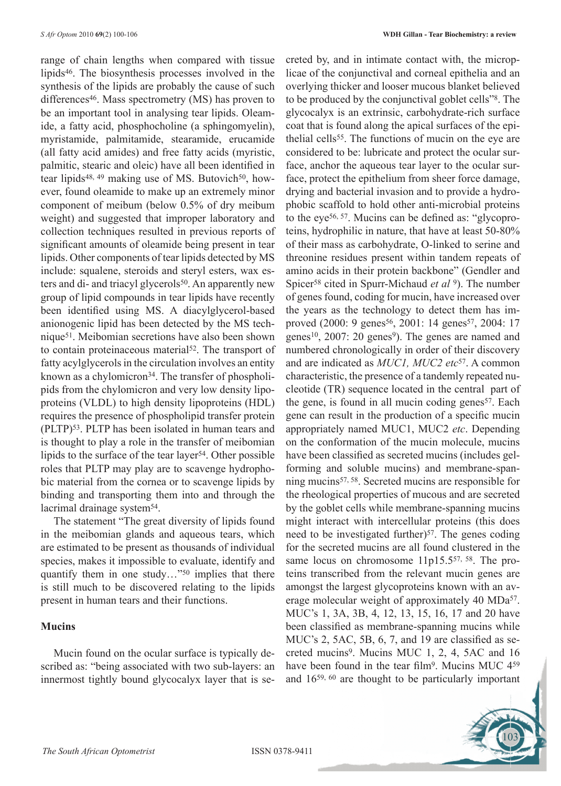range of chain lengths when compared with tissue lipids46. The biosynthesis processes involved in the synthesis of the lipids are probably the cause of such differences<sup>46</sup>. Mass spectrometry (MS) has proven to be an important tool in analysing tear lipids. Oleamide, a fatty acid, phosphocholine (a sphingomyelin), myristamide, palmitamide, stearamide, erucamide (all fatty acid amides) and free fatty acids (myristic, palmitic, stearic and oleic) have all been identified in tear lipids<sup>48, 49</sup> making use of MS. Butovich<sup>50</sup>, however, found oleamide to make up an extremely minor component of meibum (below 0.5% of dry meibum weight) and suggested that improper laboratory and collection techniques resulted in previous reports of significant amounts of oleamide being present in tear lipids. Other components of tear lipids detected by MS include: squalene, steroids and steryl esters, wax esters and di- and triacyl glycerols<sup>50</sup>. An apparently new group of lipid compounds in tear lipids have recently been identified using MS. A diacylglycerol-based anionogenic lipid has been detected by the MS technique51. Meibomian secretions have also been shown to contain proteinaceous material<sup>52</sup>. The transport of fatty acylglycerols in the circulation involves an entity known as a chylomicron<sup>34</sup>. The transfer of phospholipids from the chylomicron and very low density lipoproteins (VLDL) to high density lipoproteins (HDL) requires the presence of phospholipid transfer protein (PLTP)53. PLTP has been isolated in human tears and is thought to play a role in the transfer of meibomian lipids to the surface of the tear layer<sup>54</sup>. Other possible roles that PLTP may play are to scavenge hydrophobic material from the cornea or to scavenge lipids by binding and transporting them into and through the lacrimal drainage system<sup>54</sup>.

The statement "The great diversity of lipids found in the meibomian glands and aqueous tears, which are estimated to be present as thousands of individual species, makes it impossible to evaluate, identify and quantify them in one study..."<sup>50</sup> implies that there is still much to be discovered relating to the lipids present in human tears and their functions.

## **Mucins**

Mucin found on the ocular surface is typically described as: "being associated with two sub-layers: an innermost tightly bound glycocalyx layer that is secreted by, and in intimate contact with, the microplicae of the conjunctival and corneal epithelia and an overlying thicker and looser mucous blanket believed to be produced by the conjunctival goblet cells"8. The glycocalyx is an extrinsic, carbohydrate-rich surface coat that is found along the apical surfaces of the epithelial cells<sup>55</sup>. The functions of mucin on the eye are considered to be: lubricate and protect the ocular surface, anchor the aqueous tear layer to the ocular surface, protect the epithelium from sheer force damage, drying and bacterial invasion and to provide a hydrophobic scaffold to hold other anti-microbial proteins to the eye56, 57. Mucins can be defined as: "glycoproteins, hydrophilic in nature, that have at least 50-80% of their mass as carbohydrate, O-linked to serine and threonine residues present within tandem repeats of amino acids in their protein backbone" (Gendler and Spicer58 cited in Spurr-Michaud *et al* 9). The number of genes found, coding for mucin, have increased over the years as the technology to detect them has improved (2000: 9 genes<sup>56</sup>, 2001: 14 genes<sup>57</sup>, 2004: 17 genes<sup>10</sup>, 2007: 20 genes<sup>9</sup>). The genes are named and numbered chronologically in order of their discovery and are indicated as *MUC1, MUC2 etc*57. A common characteristic, the presence of a tandemly repeated nucleotide (TR) sequence located in the central part of the gene, is found in all mucin coding genes<sup>57</sup>. Each gene can result in the production of a specific mucin appropriately named MUC1, MUC2 *etc*. Depending on the conformation of the mucin molecule, mucins have been classified as secreted mucins (includes gelforming and soluble mucins) and membrane-spanning mucins57, 58. Secreted mucins are responsible for the rheological properties of mucous and are secreted by the goblet cells while membrane-spanning mucins might interact with intercellular proteins (this does need to be investigated further) $57$ . The genes coding for the secreted mucins are all found clustered in the same locus on chromosome 11p15.557, 58. The proteins transcribed from the relevant mucin genes are amongst the largest glycoproteins known with an average molecular weight of approximately 40 MDa<sup>57</sup>. MUC's 1, 3A, 3B, 4, 12, 13, 15, 16, 17 and 20 have been classified as membrane-spanning mucins while MUC's 2, 5AC, 5B, 6, 7, and 19 are classified as secreted mucins9. Mucins MUC 1, 2, 4, 5AC and 16 have been found in the tear film<sup>9</sup>. Mucins MUC 4<sup>59</sup> and 1659, 60 are thought to be particularly important

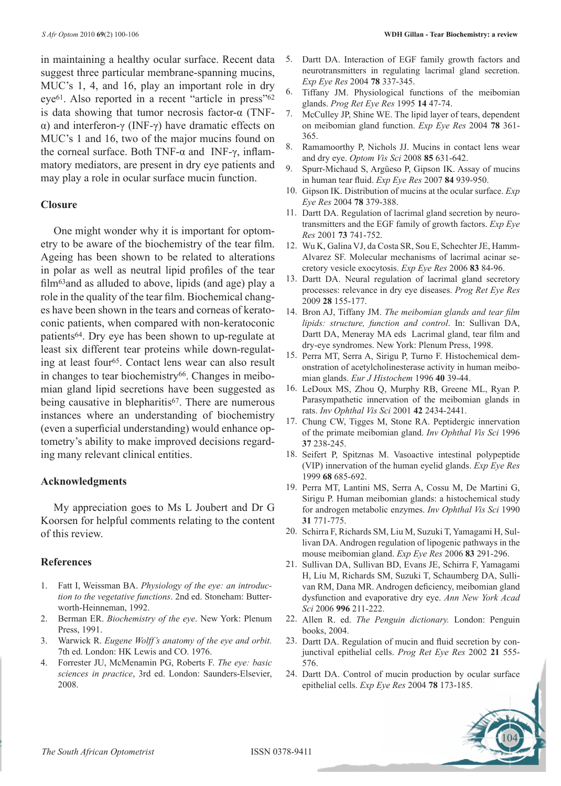in maintaining a healthy ocular surface. Recent data suggest three particular membrane-spanning mucins, MUC's 1, 4, and 16, play an important role in dry eye61. Also reported in a recent "article in press"62 is data showing that tumor necrosis factor-α (TNFα) and interferon-γ (INF-γ) have dramatic effects on MUC's 1 and 16, two of the major mucins found on the corneal surface. Both TNF-α and INF-γ, inflammatory mediators, are present in dry eye patients and may play a role in ocular surface mucin function.

#### **Closure**

One might wonder why it is important for optometry to be aware of the biochemistry of the tear film. Ageing has been shown to be related to alterations in polar as well as neutral lipid profiles of the tear film<sup>63</sup> and as alluded to above, lipids (and age) play a role in the quality of the tear film. Biochemical changes have been shown in the tears and corneas of keratoconic patients, when compared with non-keratoconic patients64. Dry eye has been shown to up-regulate at least six different tear proteins while down-regulating at least four65. Contact lens wear can also result in changes to tear biochemistry<sup>66</sup>. Changes in meibomian gland lipid secretions have been suggested as being causative in blepharitis<sup>67</sup>. There are numerous instances where an understanding of biochemistry (even a superficial understanding) would enhance optometry's ability to make improved decisions regarding many relevant clinical entities.

#### **Acknowledgments**

My appreciation goes to Ms L Joubert and Dr G Koorsen for helpful comments relating to the content of this review.

#### **References**

- 1. Fatt I, Weissman BA. *Physiology of the eye: an introduction to the vegetative functions*. 2nd ed. Stoneham: Butterworth-Heinneman, 1992.
- 2. Berman ER. *Biochemistry of the eye*. New York: Plenum Press, 1991.
- 3. Warwick R. *Eugene Wolff's anatomy of the eye and orbit.* 7th ed. London: HK Lewis and CO. 1976.
- 4. Forrester JU, McMenamin PG, Roberts F. *The eye: basic sciences in practice*, 3rd ed. London: Saunders-Elsevier, 2008.
- 5. Dartt DA. Interaction of EGF family growth factors and neurotransmitters in regulating lacrimal gland secretion. *Exp Eye Res* 2004 **78** 337-345.
- 6. Tiffany JM. Physiological functions of the meibomian glands. *Prog Ret Eye Res* 1995 **14** 47-74.
- 7. McCulley JP, Shine WE. The lipid layer of tears, dependent on meibomian gland function. *Exp Eye Res* 2004 **78** 361- 365.
- 8. Ramamoorthy P, Nichols JJ. Mucins in contact lens wear and dry eye. *Optom Vis Sci* 2008 **85** 631-642.
- 9. Spurr-Michaud S, Argüeso P, Gipson IK. Assay of mucins in human tear fluid. *Exp Eye Res* 2007 **84** 939-950.
- 10. Gipson IK. Distribution of mucins at the ocular surface. *Exp Eye Res* 2004 **78** 379-388.
- 11. Dartt DA. Regulation of lacrimal gland secretion by neurotransmitters and the EGF family of growth factors. *Exp Eye Res* 2001 **73** 741-752.
- 12. Wu K, Galina VJ, da Costa SR, Sou E, Schechter JE, Hamm-Alvarez SF. Molecular mechanisms of lacrimal acinar secretory vesicle exocytosis. *Exp Eye Res* 2006 **83** 84-96.
- 13. Dartt DA. Neural regulation of lacrimal gland secretory processes: relevance in dry eye diseases. *Prog Ret Eye Res*  2009 **28** 155-177.
- 14. Bron AJ, Tiffany JM. *The meibomian glands and tear film lipids: structure, function and control*. In: Sullivan DA, Dartt DA, Meneray MA eds Lacrimal gland, tear film and dry-eye syndromes. New York: Plenum Press, 1998.
- 15. Perra MT, Serra A, Sirigu P, Turno F. Histochemical demonstration of acetylcholinesterase activity in human meibomian glands. *Eur J Histochem* 1996 **40** 39-44.
- 16. LeDoux MS, Zhou Q, Murphy RB, Greene ML, Ryan P. Parasympathetic innervation of the meibomian glands in rats. *Inv Ophthal Vis Sci* 2001 **42** 2434-2441.
- 17. Chung CW, Tigges M, Stone RA. Peptidergic innervation of the primate meibomian gland. *Inv Ophthal Vis Sci* 1996 **37** 238-245.
- 18. Seifert P, Spitznas M. Vasoactive intestinal polypeptide (VIP) innervation of the human eyelid glands. *Exp Eye Res* 1999 **68** 685-692.
- 19. Perra MT, Lantini MS, Serra A, Cossu M, De Martini G, Sirigu P. Human meibomian glands: a histochemical study for androgen metabolic enzymes. *Inv Ophthal Vis Sci* 1990 **31** 771-775.
- 20. Schirra F, Richards SM, Liu M, Suzuki T, Yamagami H, Sullivan DA. Androgen regulation of lipogenic pathways in the mouse meibomian gland. *Exp Eye Res* 2006 **83** 291-296.
- 21. Sullivan DA, Sullivan BD, Evans JE, Schirra F, Yamagami H, Liu M, Richards SM, Suzuki T, Schaumberg DA, Sullivan RM, Dana MR. Androgen deficiency, meibomian gland dysfunction and evaporative dry eye. *Ann New York Acad Sci* 2006 **996** 211-222.
- 22. Allen R. ed. *The Penguin dictionary.* London: Penguin books, 2004.
- 23. Dartt DA. Regulation of mucin and fluid secretion by conjunctival epithelial cells. *Prog Ret Eye Res* 2002 **21** 555- 576.
- 24. Dartt DA. Control of mucin production by ocular surface epithelial cells. *Exp Eye Res* 2004 **78** 173-185.

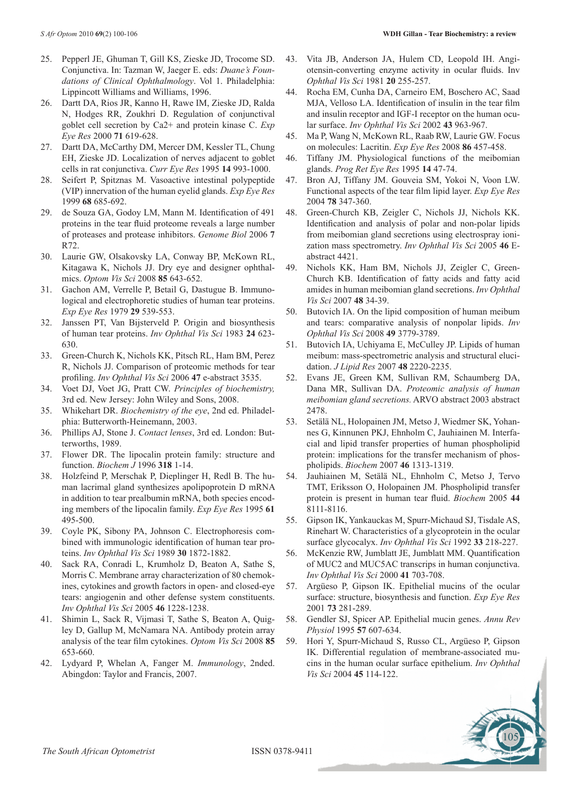- 25. Pepperl JE, Ghuman T, Gill KS, Zieske JD, Trocome SD. Conjunctiva. In: Tazman W, Jaeger E. eds: *Duane's Foundations of Clinical Ophthalmology*. Vol 1. Philadelphia: Lippincott Williams and Williams, 1996.
- 26. Dartt DA, Rios JR, Kanno H, Rawe IM, Zieske JD, Ralda N, Hodges RR, Zoukhri D. Regulation of conjunctival goblet cell secretion by Ca2+ and protein kinase C. *Exp Eye Res* 2000 **71** 619-628.
- 27. Dartt DA, McCarthy DM, Mercer DM, Kessler TL, Chung EH, Zieske JD. Localization of nerves adjacent to goblet cells in rat conjunctiva. *Curr Eye Res* 1995 **14** 993-1000.
- 28. Seifert P, Spitznas M. Vasoactive intestinal polypeptide (VIP) innervation of the human eyelid glands. *Exp Eye Res* 1999 **68** 685-692.
- 29. de Souza GA, Godoy LM, Mann M. Identification of 491 proteins in the tear fluid proteome reveals a large number of proteases and protease inhibitors. *Genome Biol* 2006 **7** R72.
- 30. Laurie GW, Olsakovsky LA, Conway BP, McKown RL, Kitagawa K, Nichols JJ. Dry eye and designer ophthalmics. *Optom Vis Sci* 2008 **85** 643-652.
- 31. Gachon AM, Verrelle P, Betail G, Dastugue B. Immunological and electrophoretic studies of human tear proteins. *Exp Eye Res* 1979 **29** 539-553.
- 32. Janssen PT, Van Bijsterveld P. Origin and biosynthesis of human tear proteins. *Inv Ophthal Vis Sci* 1983 **24** 623- 630.
- 33. Green-Church K, Nichols KK, Pitsch RL, Ham BM, Perez R, Nichols JJ. Comparison of proteomic methods for tear profiling. *Inv Ophthal Vis Sci* 2006 **47** e-abstract 3535.
- 34. Voet DJ, Voet JG, Pratt CW. *Principles of biochemistry,*  3rd ed. New Jersey: John Wiley and Sons, 2008.
- 35. Whikehart DR. *Biochemistry of the eye*, 2nd ed. Philadelphia: Butterworth-Heinemann, 2003.
- 36. Phillips AJ, Stone J. *Contact lenses*, 3rd ed. London: Butterworths, 1989.
- 37. Flower DR. The lipocalin protein family: structure and function. *Biochem J* 1996 **318** 1-14.
- 38. Holzfeind P, Merschak P, Dieplinger H, Redl B. The human lacrimal gland synthesizes apolipoprotein D mRNA in addition to tear prealbumin mRNA, both species encoding members of the lipocalin family. *Exp Eye Res* 1995 **61** 495-500.
- 39. Coyle PK, Sibony PA, Johnson C. Electrophoresis combined with immunologic identification of human tear proteins. *Inv Ophthal Vis Sci* 1989 **30** 1872-1882.
- 40. Sack RA, Conradi L, Krumholz D, Beaton A, Sathe S, Morris C. Membrane array characterization of 80 chemokines, cytokines and growth factors in open- and closed-eye tears: angiogenin and other defense system constituents. *Inv Ophthal Vis Sci* 2005 **46** 1228-1238.
- 41. Shimin L, Sack R, Vijmasi T, Sathe S, Beaton A, Quigley D, Gallup M, McNamara NA. Antibody protein array analysis of the tear film cytokines. *Optom Vis Sci* 2008 **85**  653-660.
- 42. Lydyard P, Whelan A, Fanger M. *Immunology*, 2nded. Abingdon: Taylor and Francis, 2007.
- 43. Vita JB, Anderson JA, Hulem CD, Leopold IH. Angiotensin-converting enzyme activity in ocular fluids. Inv *Ophthal Vis Sci* 1981 **20** 255-257.
- 44. Rocha EM, Cunha DA, Carneiro EM, Boschero AC, Saad MJA, Velloso LA. Identification of insulin in the tear film and insulin receptor and IGF-I receptor on the human ocular surface. *Inv Ophthal Vis Sci* 2002 **43** 963-967.
- 45. Ma P, Wang N, McKown RL, Raab RW, Laurie GW. Focus on molecules: Lacritin. *Exp Eye Res* 2008 **86** 457-458.
- 46. Tiffany JM. Physiological functions of the meibomian glands. *Prog Ret Eye Res* 1995 **14** 47-74.
- 47. Bron AJ, Tiffany JM. Gouveia SM, Yokoi N, Voon LW. Functional aspects of the tear film lipid layer. *Exp Eye Res*  2004 **78** 347-360.
- 48. Green-Church KB, Zeigler C, Nichols JJ, Nichols KK. Identification and analysis of polar and non-polar lipids from meibomian gland secretions using electrospray ionization mass spectrometry. *Inv Ophthal Vis Sci* 2005 **46** Eabstract 4421.
- 49. Nichols KK, Ham BM, Nichols JJ, Zeigler C, Green-Church KB. Identification of fatty acids and fatty acid amides in human meibomian gland secretions. *Inv Ophthal Vis Sci* 2007 **48** 34-39.
- 50. Butovich IA. On the lipid composition of human meibum and tears: comparative analysis of nonpolar lipids. *Inv Ophthal Vis Sci* 2008 **49** 3779-3789.
- 51. Butovich IA, Uchiyama E, McCulley JP. Lipids of human meibum: mass-spectrometric analysis and structural elucidation. *J Lipid Res* 2007 **48** 2220-2235.
- 52. Evans JE, Green KM, Sullivan RM, Schaumberg DA, Dana MR, Sullivan DA. *Proteomic analysis of human meibomian gland secretions.* ARVO abstract 2003 abstract 2478.
- 53. Setälä NL, Holopainen JM, Metso J, Wiedmer SK, Yohannes G, Kinnunen PKJ, Ehnholm C, Jauhiainen M. Interfacial and lipid transfer properties of human phospholipid protein: implications for the transfer mechanism of phospholipids. *Biochem* 2007 **46** 1313-1319.
- 54. Jauhiainen M, Setälä NL, Ehnholm C, Metso J, Tervo TMT, Eriksson O, Holopainen JM. Phospholipid transfer protein is present in human tear fluid. *Biochem* 2005 **44**  8111-8116.
- 55. Gipson IK, Yankauckas M, Spurr-Michaud SJ, Tisdale AS, Rinehart W. Characteristics of a glycoprotein in the ocular surface glycocalyx. *Inv Ophthal Vis Sci* 1992 **33** 218-227.
- 56. McKenzie RW, Jumblatt JE, Jumblatt MM. Quantification of MUC2 and MUC5AC transcrips in human conjunctiva. *Inv Ophthal Vis Sci* 2000 **41** 703-708.
- 57. Argüeso P, Gipson IK. Epithelial mucins of the ocular surface: structure, biosynthesis and function. *Exp Eye Res*  2001 **73** 281-289.
- 58. Gendler SJ, Spicer AP. Epithelial mucin genes. *Annu Rev Physiol* 1995 **57** 607-634.
- 59. Hori Y, Spurr-Michaud S, Russo CL, Argüeso P, Gipson IK. Differential regulation of membrane-associated mucins in the human ocular surface epithelium. *Inv Ophthal Vis Sci* 2004 **45** 114-122.